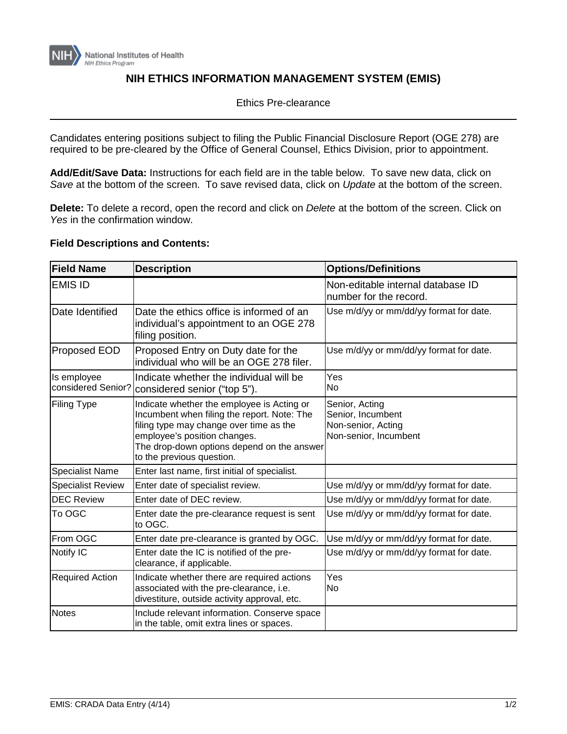

## **NIH ETHICS INFORMATION MANAGEMENT SYSTEM (EMIS)**

Ethics Pre-clearance

Candidates entering positions subject to filing the Public Financial Disclosure Report (OGE 278) are required to be pre-cleared by the Office of General Counsel, Ethics Division, prior to appointment.

**Add/Edit/Save Data:** Instructions for each field are in the table below. To save new data, click on *Save* at the bottom of the screen. To save revised data, click on *Update* at the bottom of the screen.

**Delete:** To delete a record, open the record and click on *Delete* at the bottom of the screen. Click on *Yes* in the confirmation window.

## **Field Descriptions and Contents:**

| <b>Field Name</b>                 | <b>Description</b>                                                                                                                                                                                                                              | <b>Options/Definitions</b>                                                         |
|-----------------------------------|-------------------------------------------------------------------------------------------------------------------------------------------------------------------------------------------------------------------------------------------------|------------------------------------------------------------------------------------|
| <b>EMIS ID</b>                    |                                                                                                                                                                                                                                                 | Non-editable internal database ID<br>number for the record.                        |
| Date Identified                   | Date the ethics office is informed of an<br>individual's appointment to an OGE 278<br>filing position.                                                                                                                                          | Use m/d/yy or mm/dd/yy format for date.                                            |
| <b>Proposed EOD</b>               | Proposed Entry on Duty date for the<br>individual who will be an OGE 278 filer.                                                                                                                                                                 | Use m/d/yy or mm/dd/yy format for date.                                            |
| Is employee<br>considered Senior? | Indicate whether the individual will be<br>considered senior ("top 5").                                                                                                                                                                         | Yes<br>No                                                                          |
| <b>Filing Type</b>                | Indicate whether the employee is Acting or<br>Incumbent when filing the report. Note: The<br>filing type may change over time as the<br>employee's position changes.<br>The drop-down options depend on the answer<br>to the previous question. | Senior, Acting<br>Senior, Incumbent<br>Non-senior, Acting<br>Non-senior, Incumbent |
| <b>Specialist Name</b>            | Enter last name, first initial of specialist.                                                                                                                                                                                                   |                                                                                    |
| <b>Specialist Review</b>          | Enter date of specialist review.                                                                                                                                                                                                                | Use m/d/yy or mm/dd/yy format for date.                                            |
| <b>DEC Review</b>                 | Enter date of DEC review.                                                                                                                                                                                                                       | Use m/d/yy or mm/dd/yy format for date.                                            |
| To OGC                            | Enter date the pre-clearance request is sent<br>to OGC.                                                                                                                                                                                         | Use m/d/yy or mm/dd/yy format for date.                                            |
| From OGC                          | Enter date pre-clearance is granted by OGC.                                                                                                                                                                                                     | Use m/d/yy or mm/dd/yy format for date.                                            |
| Notify IC                         | Enter date the IC is notified of the pre-<br>clearance, if applicable.                                                                                                                                                                          | Use m/d/yy or mm/dd/yy format for date.                                            |
| <b>Required Action</b>            | Indicate whether there are required actions<br>associated with the pre-clearance, i.e.<br>divestiture, outside activity approval, etc.                                                                                                          | Yes<br>No                                                                          |
| <b>Notes</b>                      | Include relevant information. Conserve space<br>in the table, omit extra lines or spaces.                                                                                                                                                       |                                                                                    |